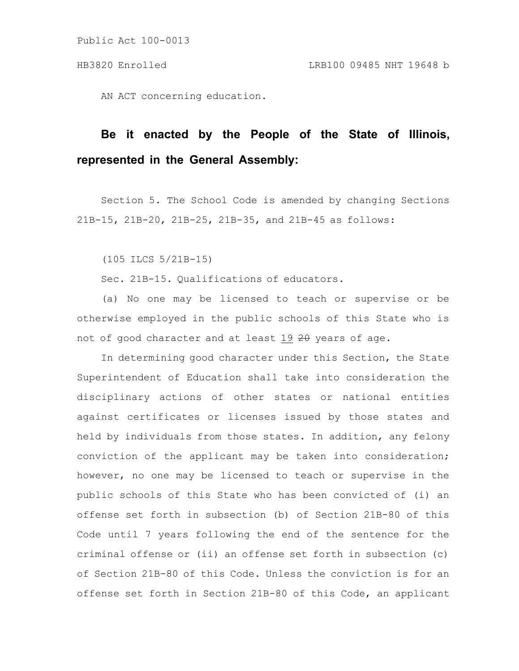AN ACT concerning education.

# **Be it enacted by the People of the State of Illinois, represented in the General Assembly:**

Section 5. The School Code is amended by changing Sections 21B-15, 21B-20, 21B-25, 21B-35, and 21B-45 as follows:

(105 ILCS 5/21B-15)

Sec. 21B-15. Qualifications of educators.

(a) No one may be licensed to teach or supervise or be otherwise employed in the public schools of this State who is not of good character and at least 19 20 years of age.

In determining good character under this Section, the State Superintendent of Education shall take into consideration the disciplinary actions of other states or national entities against certificates or licenses issued by those states and held by individuals from those states. In addition, any felony conviction of the applicant may be taken into consideration; however, no one may be licensed to teach or supervise in the public schools of this State who has been convicted of (i) an offense set forth in subsection (b) of Section 21B-80 of this Code until 7 years following the end of the sentence for the criminal offense or (ii) an offense set forth in subsection (c) of Section 21B-80 of this Code. Unless the conviction is for an offense set forth in Section 21B-80 of this Code, an applicant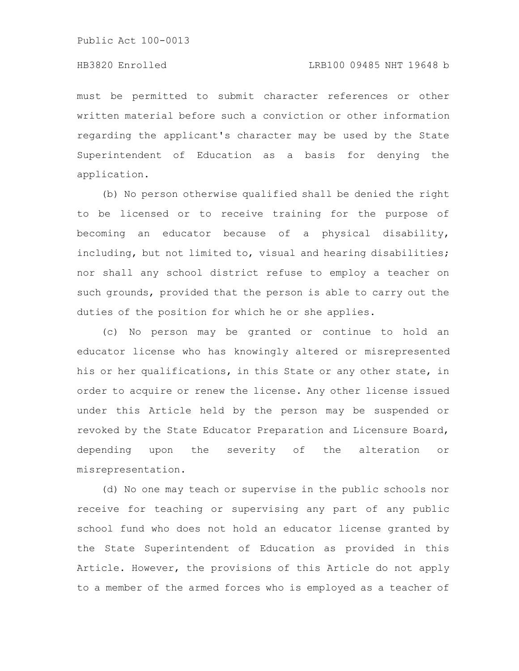must be permitted to submit character references or other written material before such a conviction or other information regarding the applicant's character may be used by the State Superintendent of Education as a basis for denying the application.

(b) No person otherwise qualified shall be denied the right to be licensed or to receive training for the purpose of becoming an educator because of a physical disability, including, but not limited to, visual and hearing disabilities; nor shall any school district refuse to employ a teacher on such grounds, provided that the person is able to carry out the duties of the position for which he or she applies.

(c) No person may be granted or continue to hold an educator license who has knowingly altered or misrepresented his or her qualifications, in this State or any other state, in order to acquire or renew the license. Any other license issued under this Article held by the person may be suspended or revoked by the State Educator Preparation and Licensure Board, depending upon the severity of the alteration or misrepresentation.

(d) No one may teach or supervise in the public schools nor receive for teaching or supervising any part of any public school fund who does not hold an educator license granted by the State Superintendent of Education as provided in this Article. However, the provisions of this Article do not apply to a member of the armed forces who is employed as a teacher of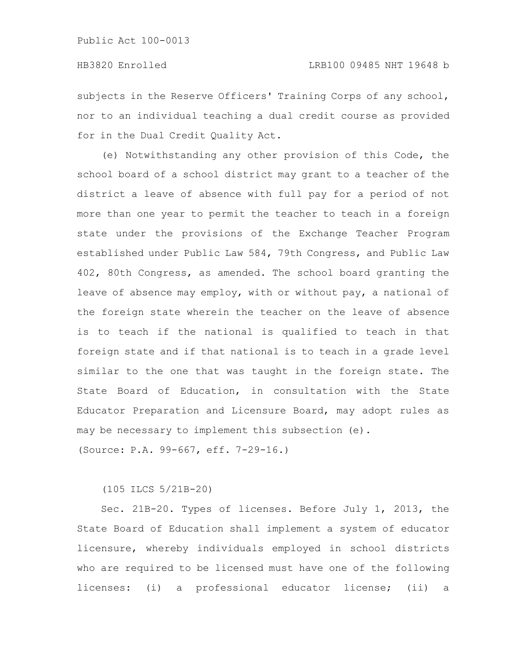subjects in the Reserve Officers' Training Corps of any school, nor to an individual teaching a dual credit course as provided for in the Dual Credit Quality Act.

(e) Notwithstanding any other provision of this Code, the school board of a school district may grant to a teacher of the district a leave of absence with full pay for a period of not more than one year to permit the teacher to teach in a foreign state under the provisions of the Exchange Teacher Program established under Public Law 584, 79th Congress, and Public Law 402, 80th Congress, as amended. The school board granting the leave of absence may employ, with or without pay, a national of the foreign state wherein the teacher on the leave of absence is to teach if the national is qualified to teach in that foreign state and if that national is to teach in a grade level similar to the one that was taught in the foreign state. The State Board of Education, in consultation with the State Educator Preparation and Licensure Board, may adopt rules as may be necessary to implement this subsection (e).

(Source: P.A. 99-667, eff. 7-29-16.)

(105 ILCS 5/21B-20)

Sec. 21B-20. Types of licenses. Before July 1, 2013, the State Board of Education shall implement a system of educator licensure, whereby individuals employed in school districts who are required to be licensed must have one of the following licenses: (i) a professional educator license; (ii) a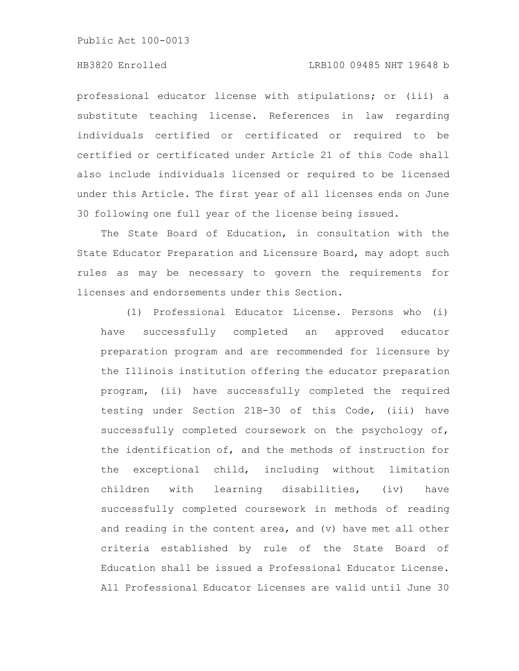#### HB3820 Enrolled LRB100 09485 NHT 19648 b

professional educator license with stipulations; or (iii) a substitute teaching license. References in law regarding individuals certified or certificated or required to be certified or certificated under Article 21 of this Code shall also include individuals licensed or required to be licensed under this Article. The first year of all licenses ends on June 30 following one full year of the license being issued.

The State Board of Education, in consultation with the State Educator Preparation and Licensure Board, may adopt such rules as may be necessary to govern the requirements for licenses and endorsements under this Section.

(1) Professional Educator License. Persons who (i) have successfully completed an approved educator preparation program and are recommended for licensure by the Illinois institution offering the educator preparation program, (ii) have successfully completed the required testing under Section 21B-30 of this Code, (iii) have successfully completed coursework on the psychology of, the identification of, and the methods of instruction for the exceptional child, including without limitation children with learning disabilities, (iv) have successfully completed coursework in methods of reading and reading in the content area, and (v) have met all other criteria established by rule of the State Board of Education shall be issued a Professional Educator License. All Professional Educator Licenses are valid until June 30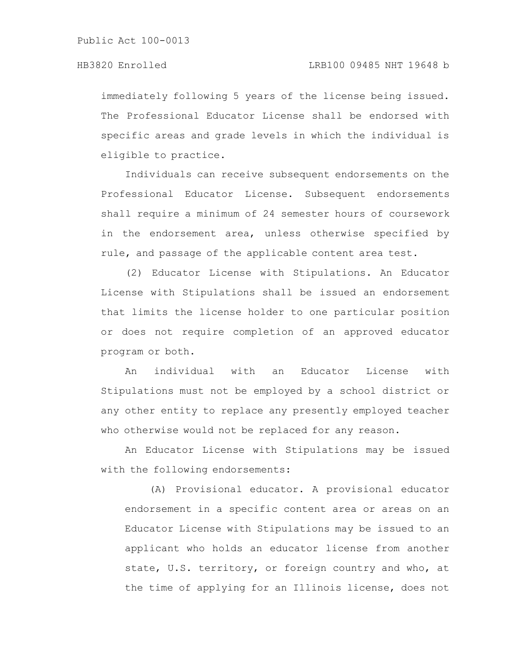immediately following 5 years of the license being issued. The Professional Educator License shall be endorsed with specific areas and grade levels in which the individual is eligible to practice.

Individuals can receive subsequent endorsements on the Professional Educator License. Subsequent endorsements shall require a minimum of 24 semester hours of coursework in the endorsement area, unless otherwise specified by rule, and passage of the applicable content area test.

(2) Educator License with Stipulations. An Educator License with Stipulations shall be issued an endorsement that limits the license holder to one particular position or does not require completion of an approved educator program or both.

An individual with an Educator License with Stipulations must not be employed by a school district or any other entity to replace any presently employed teacher who otherwise would not be replaced for any reason.

An Educator License with Stipulations may be issued with the following endorsements:

(A) Provisional educator. A provisional educator endorsement in a specific content area or areas on an Educator License with Stipulations may be issued to an applicant who holds an educator license from another state, U.S. territory, or foreign country and who, at the time of applying for an Illinois license, does not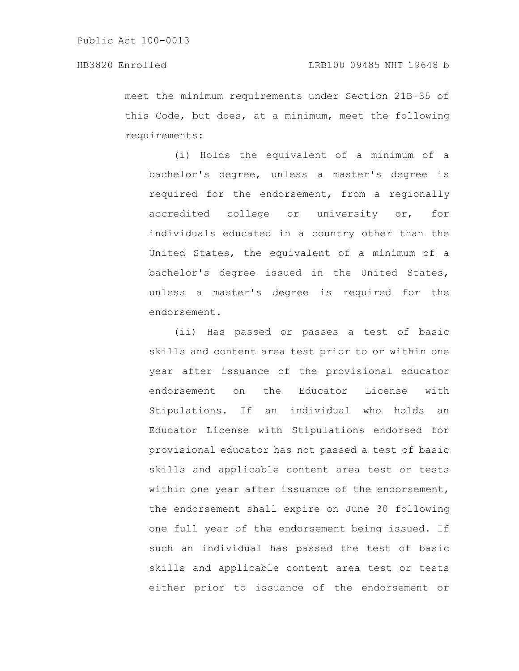meet the minimum requirements under Section 21B-35 of this Code, but does, at a minimum, meet the following requirements:

(i) Holds the equivalent of a minimum of a bachelor's degree, unless a master's degree is required for the endorsement, from a regionally accredited college or university or, for individuals educated in a country other than the United States, the equivalent of a minimum of a bachelor's degree issued in the United States, unless a master's degree is required for the endorsement.

(ii) Has passed or passes a test of basic skills and content area test prior to or within one year after issuance of the provisional educator endorsement on the Educator License with Stipulations. If an individual who holds an Educator License with Stipulations endorsed for provisional educator has not passed a test of basic skills and applicable content area test or tests within one year after issuance of the endorsement, the endorsement shall expire on June 30 following one full year of the endorsement being issued. If such an individual has passed the test of basic skills and applicable content area test or tests either prior to issuance of the endorsement or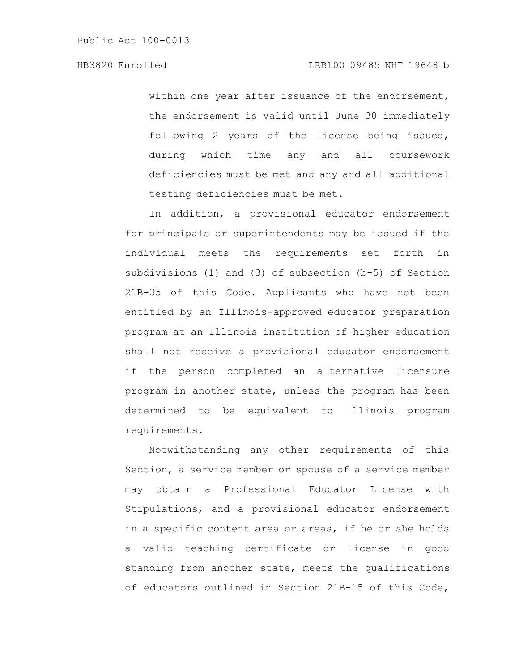within one year after issuance of the endorsement, the endorsement is valid until June 30 immediately following 2 years of the license being issued, during which time any and all coursework deficiencies must be met and any and all additional testing deficiencies must be met.

In addition, a provisional educator endorsement for principals or superintendents may be issued if the individual meets the requirements set forth in subdivisions (1) and (3) of subsection (b-5) of Section 21B-35 of this Code. Applicants who have not been entitled by an Illinois-approved educator preparation program at an Illinois institution of higher education shall not receive a provisional educator endorsement if the person completed an alternative licensure program in another state, unless the program has been determined to be equivalent to Illinois program requirements.

Notwithstanding any other requirements of this Section, a service member or spouse of a service member may obtain a Professional Educator License with Stipulations, and a provisional educator endorsement in a specific content area or areas, if he or she holds a valid teaching certificate or license in good standing from another state, meets the qualifications of educators outlined in Section 21B-15 of this Code,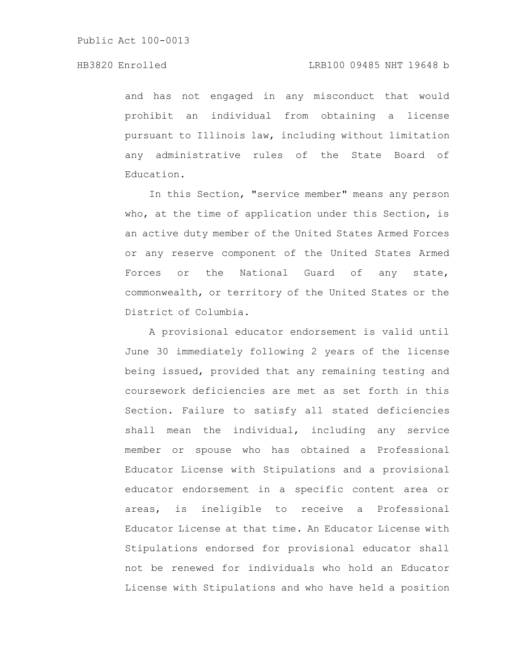and has not engaged in any misconduct that would prohibit an individual from obtaining a license pursuant to Illinois law, including without limitation any administrative rules of the State Board of Education.

In this Section, "service member" means any person who, at the time of application under this Section, is an active duty member of the United States Armed Forces or any reserve component of the United States Armed Forces or the National Guard of any state, commonwealth, or territory of the United States or the District of Columbia.

A provisional educator endorsement is valid until June 30 immediately following 2 years of the license being issued, provided that any remaining testing and coursework deficiencies are met as set forth in this Section. Failure to satisfy all stated deficiencies shall mean the individual, including any service member or spouse who has obtained a Professional Educator License with Stipulations and a provisional educator endorsement in a specific content area or areas, is ineligible to receive a Professional Educator License at that time. An Educator License with Stipulations endorsed for provisional educator shall not be renewed for individuals who hold an Educator License with Stipulations and who have held a position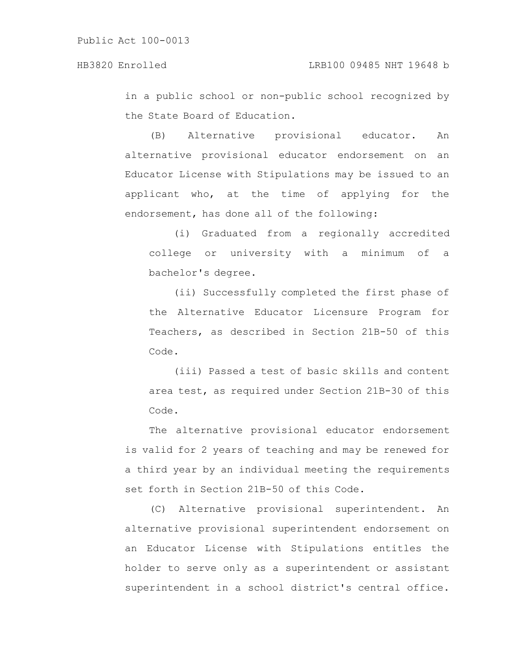in a public school or non-public school recognized by the State Board of Education.

(B) Alternative provisional educator. An alternative provisional educator endorsement on an Educator License with Stipulations may be issued to an applicant who, at the time of applying for the endorsement, has done all of the following:

(i) Graduated from a regionally accredited college or university with a minimum of a bachelor's degree.

(ii) Successfully completed the first phase of the Alternative Educator Licensure Program for Teachers, as described in Section 21B-50 of this Code.

(iii) Passed a test of basic skills and content area test, as required under Section 21B-30 of this Code.

The alternative provisional educator endorsement is valid for 2 years of teaching and may be renewed for a third year by an individual meeting the requirements set forth in Section 21B-50 of this Code.

(C) Alternative provisional superintendent. An alternative provisional superintendent endorsement on an Educator License with Stipulations entitles the holder to serve only as a superintendent or assistant superintendent in a school district's central office.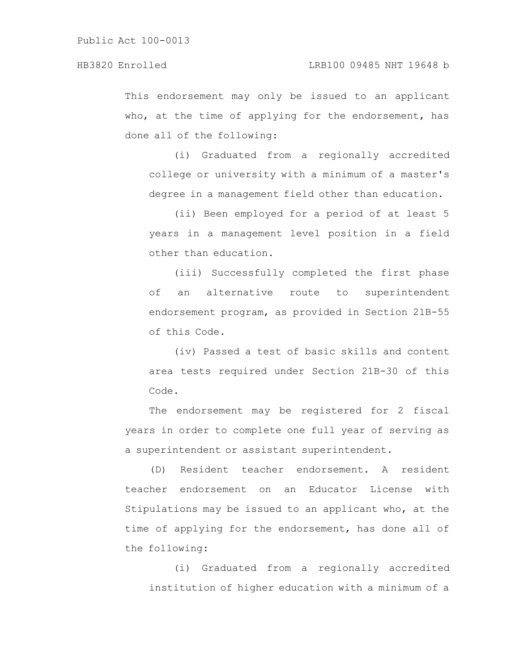This endorsement may only be issued to an applicant who, at the time of applying for the endorsement, has done all of the following:

(i) Graduated from a regionally accredited college or university with a minimum of a master's degree in a management field other than education.

(ii) Been employed for a period of at least 5 years in a management level position in a field other than education.

(iii) Successfully completed the first phase of an alternative route to superintendent endorsement program, as provided in Section 21B-55 of this Code.

(iv) Passed a test of basic skills and content area tests required under Section 21B-30 of this Code.

The endorsement may be registered for 2 fiscal years in order to complete one full year of serving as a superintendent or assistant superintendent.

(D) Resident teacher endorsement. A resident teacher endorsement on an Educator License with Stipulations may be issued to an applicant who, at the time of applying for the endorsement, has done all of the following:

(i) Graduated from a regionally accredited institution of higher education with a minimum of a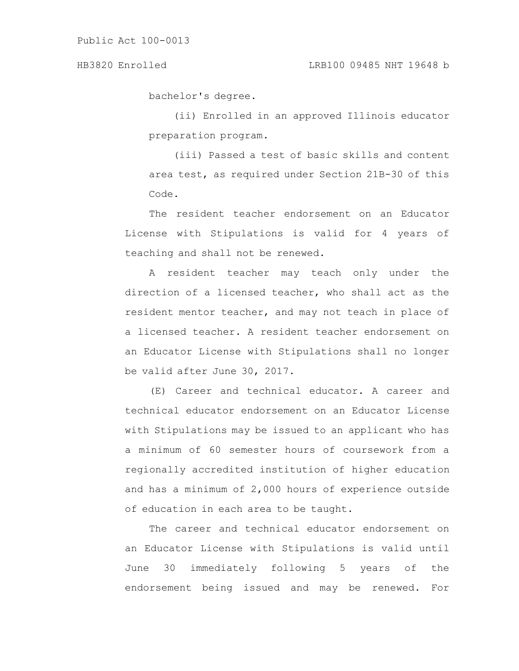bachelor's degree.

(ii) Enrolled in an approved Illinois educator preparation program.

(iii) Passed a test of basic skills and content area test, as required under Section 21B-30 of this Code.

The resident teacher endorsement on an Educator License with Stipulations is valid for 4 years of teaching and shall not be renewed.

A resident teacher may teach only under the direction of a licensed teacher, who shall act as the resident mentor teacher, and may not teach in place of a licensed teacher. A resident teacher endorsement on an Educator License with Stipulations shall no longer be valid after June 30, 2017.

(E) Career and technical educator. A career and technical educator endorsement on an Educator License with Stipulations may be issued to an applicant who has a minimum of 60 semester hours of coursework from a regionally accredited institution of higher education and has a minimum of 2,000 hours of experience outside of education in each area to be taught.

The career and technical educator endorsement on an Educator License with Stipulations is valid until June 30 immediately following 5 years of the endorsement being issued and may be renewed. For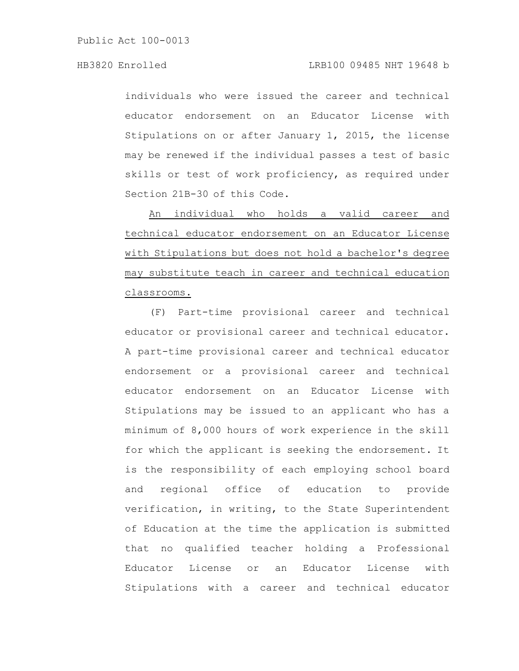individuals who were issued the career and technical educator endorsement on an Educator License with Stipulations on or after January 1, 2015, the license may be renewed if the individual passes a test of basic skills or test of work proficiency, as required under Section 21B-30 of this Code.

An individual who holds a valid career and technical educator endorsement on an Educator License with Stipulations but does not hold a bachelor's degree may substitute teach in career and technical education classrooms.

(F) Part-time provisional career and technical educator or provisional career and technical educator. A part-time provisional career and technical educator endorsement or a provisional career and technical educator endorsement on an Educator License with Stipulations may be issued to an applicant who has a minimum of 8,000 hours of work experience in the skill for which the applicant is seeking the endorsement. It is the responsibility of each employing school board and regional office of education to provide verification, in writing, to the State Superintendent of Education at the time the application is submitted that no qualified teacher holding a Professional Educator License or an Educator License with Stipulations with a career and technical educator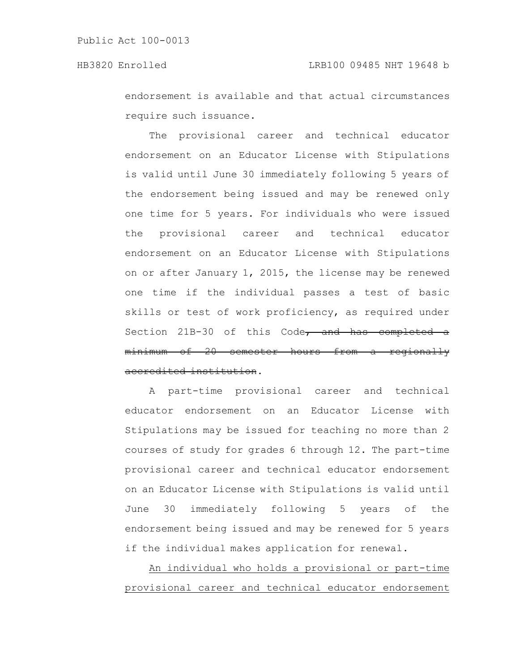endorsement is available and that actual circumstances require such issuance.

The provisional career and technical educator endorsement on an Educator License with Stipulations is valid until June 30 immediately following 5 years of the endorsement being issued and may be renewed only one time for 5 years. For individuals who were issued the provisional career and technical educator endorsement on an Educator License with Stipulations on or after January 1, 2015, the license may be renewed one time if the individual passes a test of basic skills or test of work proficiency, as required under Section 21B-30 of this  $Code<sub>r</sub>$  and has completed minimum of 20 semester hours from a regionally accredited institution.

A part-time provisional career and technical educator endorsement on an Educator License with Stipulations may be issued for teaching no more than 2 courses of study for grades 6 through 12. The part-time provisional career and technical educator endorsement on an Educator License with Stipulations is valid until June 30 immediately following 5 years of the endorsement being issued and may be renewed for 5 years if the individual makes application for renewal.

An individual who holds a provisional or part-time provisional career and technical educator endorsement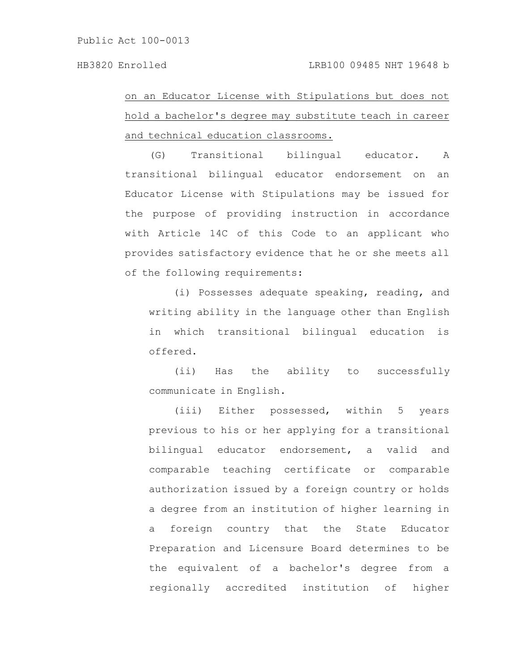## on an Educator License with Stipulations but does not hold a bachelor's degree may substitute teach in career and technical education classrooms.

(G) Transitional bilingual educator. A transitional bilingual educator endorsement on an Educator License with Stipulations may be issued for the purpose of providing instruction in accordance with Article 14C of this Code to an applicant who provides satisfactory evidence that he or she meets all of the following requirements:

(i) Possesses adequate speaking, reading, and writing ability in the language other than English in which transitional bilingual education is offered.

(ii) Has the ability to successfully communicate in English.

(iii) Either possessed, within 5 years previous to his or her applying for a transitional bilingual educator endorsement, a valid and comparable teaching certificate or comparable authorization issued by a foreign country or holds a degree from an institution of higher learning in a foreign country that the State Educator Preparation and Licensure Board determines to be the equivalent of a bachelor's degree from a regionally accredited institution of higher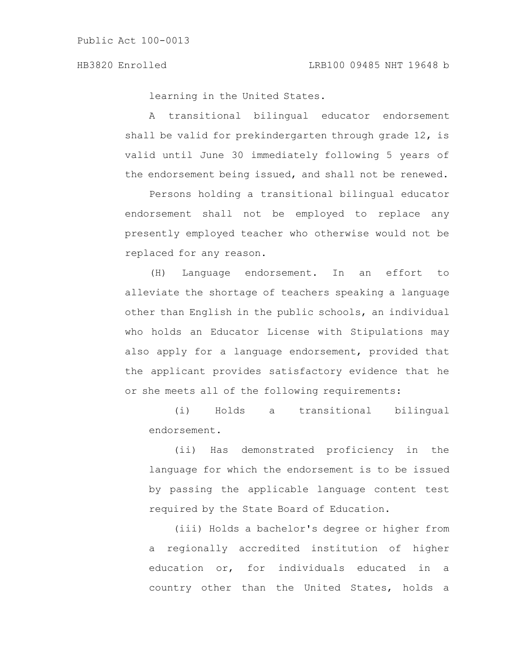learning in the United States.

A transitional bilingual educator endorsement shall be valid for prekindergarten through grade 12, is valid until June 30 immediately following 5 years of the endorsement being issued, and shall not be renewed.

Persons holding a transitional bilingual educator endorsement shall not be employed to replace any presently employed teacher who otherwise would not be replaced for any reason.

(H) Language endorsement. In an effort to alleviate the shortage of teachers speaking a language other than English in the public schools, an individual who holds an Educator License with Stipulations may also apply for a language endorsement, provided that the applicant provides satisfactory evidence that he or she meets all of the following requirements:

(i) Holds a transitional bilingual endorsement.

(ii) Has demonstrated proficiency in the language for which the endorsement is to be issued by passing the applicable language content test required by the State Board of Education.

(iii) Holds a bachelor's degree or higher from a regionally accredited institution of higher education or, for individuals educated in a country other than the United States, holds a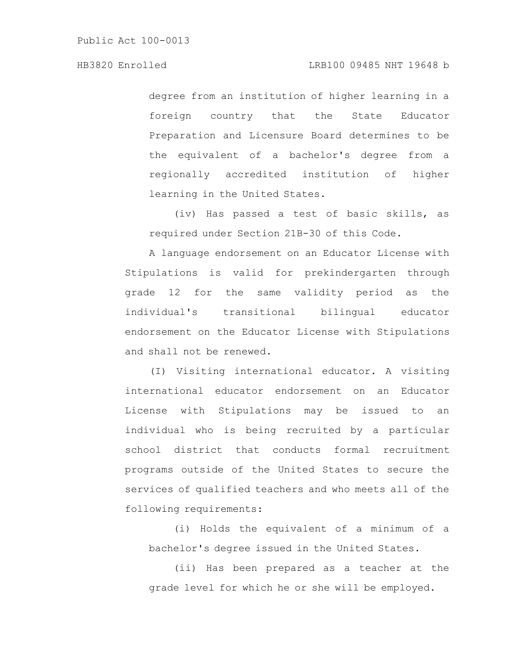degree from an institution of higher learning in a foreign country that the State Educator Preparation and Licensure Board determines to be the equivalent of a bachelor's degree from a regionally accredited institution of higher learning in the United States.

(iv) Has passed a test of basic skills, as required under Section 21B-30 of this Code.

A language endorsement on an Educator License with Stipulations is valid for prekindergarten through grade 12 for the same validity period as the individual's transitional bilingual educator endorsement on the Educator License with Stipulations and shall not be renewed.

(I) Visiting international educator. A visiting international educator endorsement on an Educator License with Stipulations may be issued to an individual who is being recruited by a particular school district that conducts formal recruitment programs outside of the United States to secure the services of qualified teachers and who meets all of the following requirements:

(i) Holds the equivalent of a minimum of a bachelor's degree issued in the United States.

(ii) Has been prepared as a teacher at the grade level for which he or she will be employed.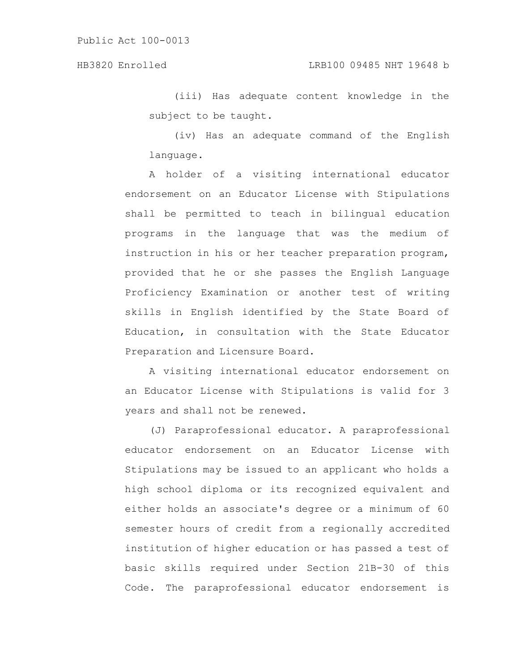(iii) Has adequate content knowledge in the subject to be taught.

(iv) Has an adequate command of the English language.

A holder of a visiting international educator endorsement on an Educator License with Stipulations shall be permitted to teach in bilingual education programs in the language that was the medium of instruction in his or her teacher preparation program, provided that he or she passes the English Language Proficiency Examination or another test of writing skills in English identified by the State Board of Education, in consultation with the State Educator Preparation and Licensure Board.

A visiting international educator endorsement on an Educator License with Stipulations is valid for 3 years and shall not be renewed.

(J) Paraprofessional educator. A paraprofessional educator endorsement on an Educator License with Stipulations may be issued to an applicant who holds a high school diploma or its recognized equivalent and either holds an associate's degree or a minimum of 60 semester hours of credit from a regionally accredited institution of higher education or has passed a test of basic skills required under Section 21B-30 of this Code. The paraprofessional educator endorsement is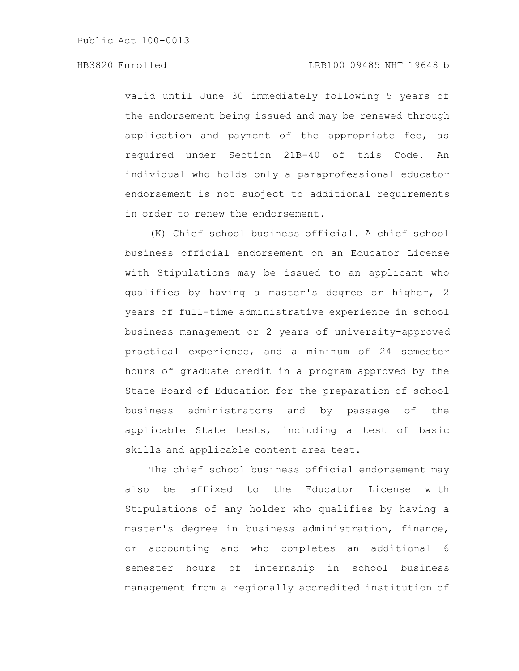valid until June 30 immediately following 5 years of the endorsement being issued and may be renewed through application and payment of the appropriate fee, as required under Section 21B-40 of this Code. An individual who holds only a paraprofessional educator endorsement is not subject to additional requirements in order to renew the endorsement.

(K) Chief school business official. A chief school business official endorsement on an Educator License with Stipulations may be issued to an applicant who qualifies by having a master's degree or higher, 2 years of full-time administrative experience in school business management or 2 years of university-approved practical experience, and a minimum of 24 semester hours of graduate credit in a program approved by the State Board of Education for the preparation of school business administrators and by passage of the applicable State tests, including a test of basic skills and applicable content area test.

The chief school business official endorsement may also be affixed to the Educator License with Stipulations of any holder who qualifies by having a master's degree in business administration, finance, or accounting and who completes an additional 6 semester hours of internship in school business management from a regionally accredited institution of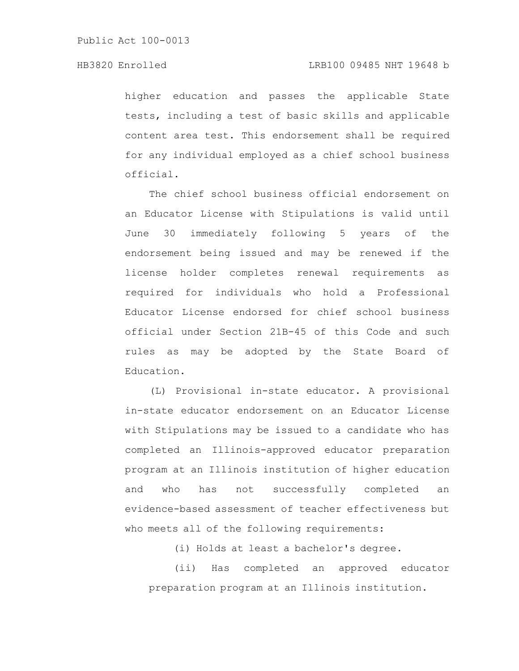higher education and passes the applicable State tests, including a test of basic skills and applicable content area test. This endorsement shall be required for any individual employed as a chief school business official.

The chief school business official endorsement on an Educator License with Stipulations is valid until June 30 immediately following 5 years of the endorsement being issued and may be renewed if the license holder completes renewal requirements as required for individuals who hold a Professional Educator License endorsed for chief school business official under Section 21B-45 of this Code and such rules as may be adopted by the State Board of Education.

(L) Provisional in-state educator. A provisional in-state educator endorsement on an Educator License with Stipulations may be issued to a candidate who has completed an Illinois-approved educator preparation program at an Illinois institution of higher education and who has not successfully completed an evidence-based assessment of teacher effectiveness but who meets all of the following requirements:

(i) Holds at least a bachelor's degree.

(ii) Has completed an approved educator preparation program at an Illinois institution.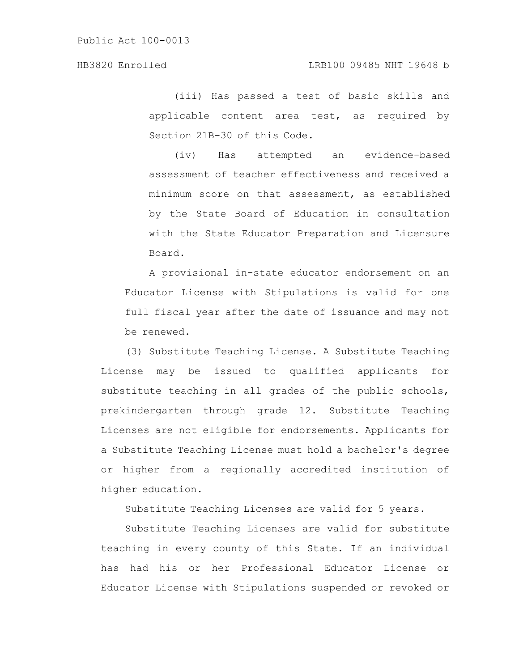(iii) Has passed a test of basic skills and applicable content area test, as required by Section 21B-30 of this Code.

(iv) Has attempted an evidence-based assessment of teacher effectiveness and received a minimum score on that assessment, as established by the State Board of Education in consultation with the State Educator Preparation and Licensure Board.

A provisional in-state educator endorsement on an Educator License with Stipulations is valid for one full fiscal year after the date of issuance and may not be renewed.

(3) Substitute Teaching License. A Substitute Teaching License may be issued to qualified applicants for substitute teaching in all grades of the public schools, prekindergarten through grade 12. Substitute Teaching Licenses are not eligible for endorsements. Applicants for a Substitute Teaching License must hold a bachelor's degree or higher from a regionally accredited institution of higher education.

Substitute Teaching Licenses are valid for 5 years.

Substitute Teaching Licenses are valid for substitute teaching in every county of this State. If an individual has had his or her Professional Educator License or Educator License with Stipulations suspended or revoked or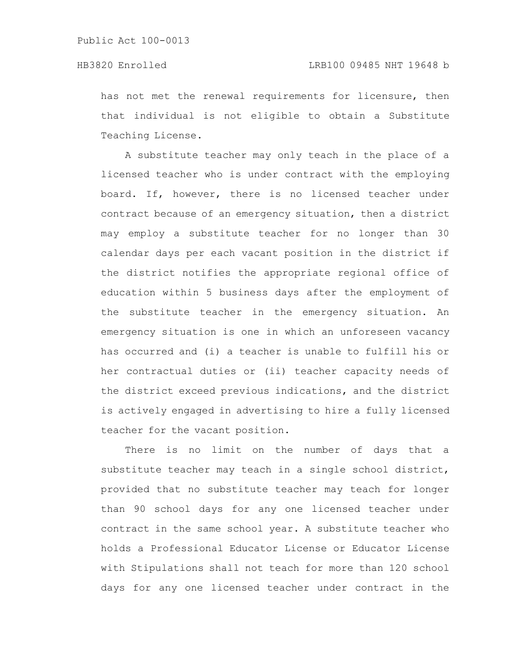has not met the renewal requirements for licensure, then that individual is not eligible to obtain a Substitute Teaching License.

A substitute teacher may only teach in the place of a licensed teacher who is under contract with the employing board. If, however, there is no licensed teacher under contract because of an emergency situation, then a district may employ a substitute teacher for no longer than 30 calendar days per each vacant position in the district if the district notifies the appropriate regional office of education within 5 business days after the employment of the substitute teacher in the emergency situation. An emergency situation is one in which an unforeseen vacancy has occurred and (i) a teacher is unable to fulfill his or her contractual duties or (ii) teacher capacity needs of the district exceed previous indications, and the district is actively engaged in advertising to hire a fully licensed teacher for the vacant position.

There is no limit on the number of days that a substitute teacher may teach in a single school district, provided that no substitute teacher may teach for longer than 90 school days for any one licensed teacher under contract in the same school year. A substitute teacher who holds a Professional Educator License or Educator License with Stipulations shall not teach for more than 120 school days for any one licensed teacher under contract in the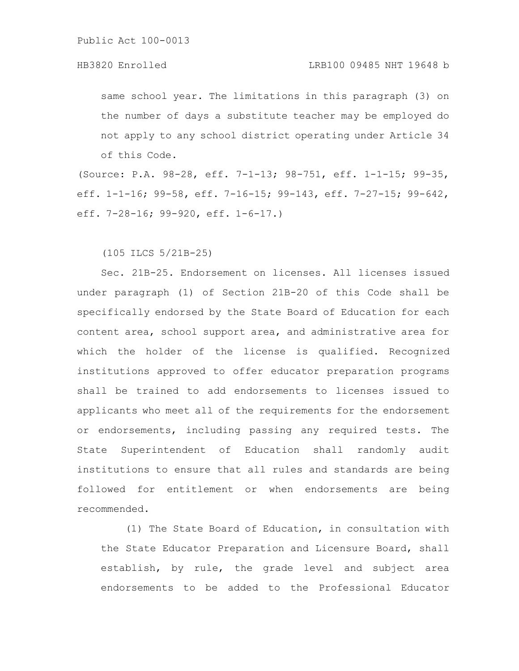same school year. The limitations in this paragraph (3) on the number of days a substitute teacher may be employed do not apply to any school district operating under Article 34 of this Code.

(Source: P.A. 98-28, eff. 7-1-13; 98-751, eff. 1-1-15; 99-35, eff. 1-1-16; 99-58, eff. 7-16-15; 99-143, eff. 7-27-15; 99-642, eff. 7-28-16; 99-920, eff. 1-6-17.)

(105 ILCS 5/21B-25)

Sec. 21B-25. Endorsement on licenses. All licenses issued under paragraph (1) of Section 21B-20 of this Code shall be specifically endorsed by the State Board of Education for each content area, school support area, and administrative area for which the holder of the license is qualified. Recognized institutions approved to offer educator preparation programs shall be trained to add endorsements to licenses issued to applicants who meet all of the requirements for the endorsement or endorsements, including passing any required tests. The State Superintendent of Education shall randomly audit institutions to ensure that all rules and standards are being followed for entitlement or when endorsements are being recommended.

(1) The State Board of Education, in consultation with the State Educator Preparation and Licensure Board, shall establish, by rule, the grade level and subject area endorsements to be added to the Professional Educator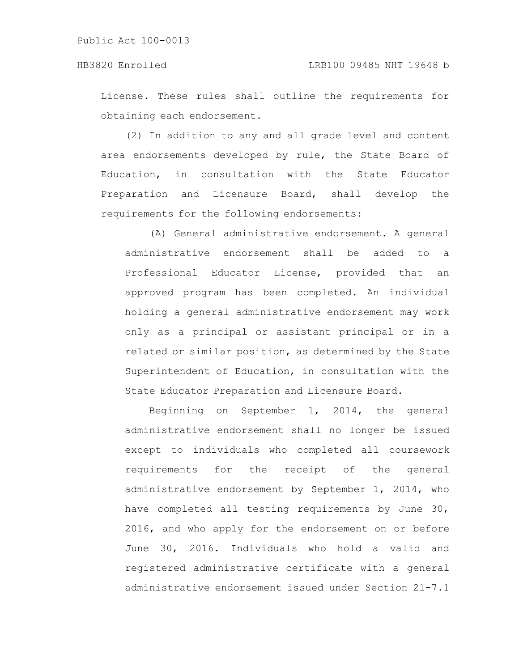License. These rules shall outline the requirements for obtaining each endorsement.

(2) In addition to any and all grade level and content area endorsements developed by rule, the State Board of Education, in consultation with the State Educator Preparation and Licensure Board, shall develop the requirements for the following endorsements:

(A) General administrative endorsement. A general administrative endorsement shall be added to a Professional Educator License, provided that an approved program has been completed. An individual holding a general administrative endorsement may work only as a principal or assistant principal or in a related or similar position, as determined by the State Superintendent of Education, in consultation with the State Educator Preparation and Licensure Board.

Beginning on September 1, 2014, the general administrative endorsement shall no longer be issued except to individuals who completed all coursework requirements for the receipt of the general administrative endorsement by September 1, 2014, who have completed all testing requirements by June 30, 2016, and who apply for the endorsement on or before June 30, 2016. Individuals who hold a valid and registered administrative certificate with a general administrative endorsement issued under Section 21-7.1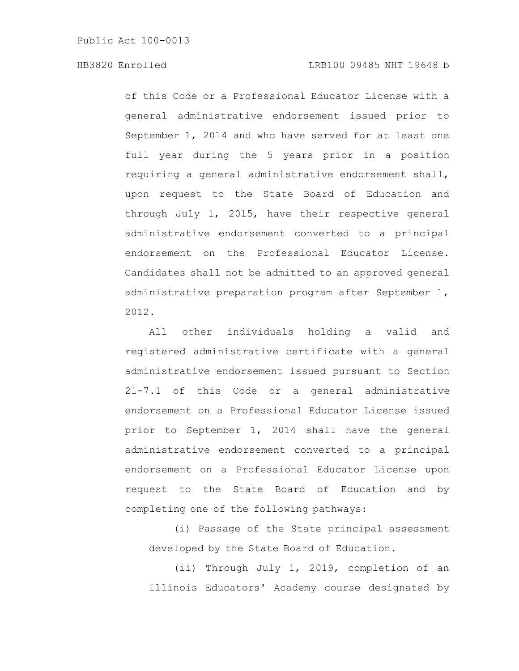of this Code or a Professional Educator License with a general administrative endorsement issued prior to September 1, 2014 and who have served for at least one full year during the 5 years prior in a position requiring a general administrative endorsement shall, upon request to the State Board of Education and through July 1, 2015, have their respective general administrative endorsement converted to a principal endorsement on the Professional Educator License. Candidates shall not be admitted to an approved general administrative preparation program after September 1, 2012.

All other individuals holding a valid and registered administrative certificate with a general administrative endorsement issued pursuant to Section 21-7.1 of this Code or a general administrative endorsement on a Professional Educator License issued prior to September 1, 2014 shall have the general administrative endorsement converted to a principal endorsement on a Professional Educator License upon request to the State Board of Education and by completing one of the following pathways:

(i) Passage of the State principal assessment developed by the State Board of Education.

(ii) Through July 1, 2019, completion of an Illinois Educators' Academy course designated by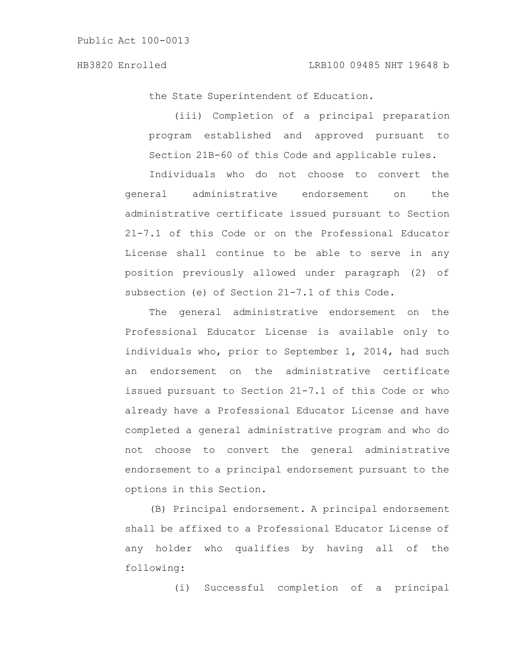the State Superintendent of Education.

(iii) Completion of a principal preparation program established and approved pursuant to Section 21B-60 of this Code and applicable rules.

Individuals who do not choose to convert the general administrative endorsement on the administrative certificate issued pursuant to Section 21-7.1 of this Code or on the Professional Educator License shall continue to be able to serve in any position previously allowed under paragraph (2) of subsection (e) of Section 21-7.1 of this Code.

The general administrative endorsement on the Professional Educator License is available only to individuals who, prior to September 1, 2014, had such an endorsement on the administrative certificate issued pursuant to Section 21-7.1 of this Code or who already have a Professional Educator License and have completed a general administrative program and who do not choose to convert the general administrative endorsement to a principal endorsement pursuant to the options in this Section.

(B) Principal endorsement. A principal endorsement shall be affixed to a Professional Educator License of any holder who qualifies by having all of the following:

(i) Successful completion of a principal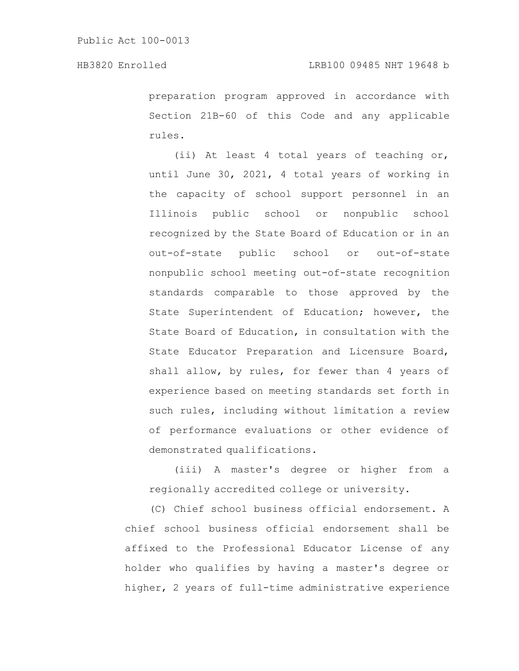preparation program approved in accordance with Section 21B-60 of this Code and any applicable rules.

(ii) At least 4 total years of teaching or, until June 30, 2021, 4 total years of working in the capacity of school support personnel in an Illinois public school or nonpublic school recognized by the State Board of Education or in an out-of-state public school or out-of-state nonpublic school meeting out-of-state recognition standards comparable to those approved by the State Superintendent of Education; however, the State Board of Education, in consultation with the State Educator Preparation and Licensure Board, shall allow, by rules, for fewer than 4 years of experience based on meeting standards set forth in such rules, including without limitation a review of performance evaluations or other evidence of demonstrated qualifications.

(iii) A master's degree or higher from a regionally accredited college or university.

(C) Chief school business official endorsement. A chief school business official endorsement shall be affixed to the Professional Educator License of any holder who qualifies by having a master's degree or higher, 2 years of full-time administrative experience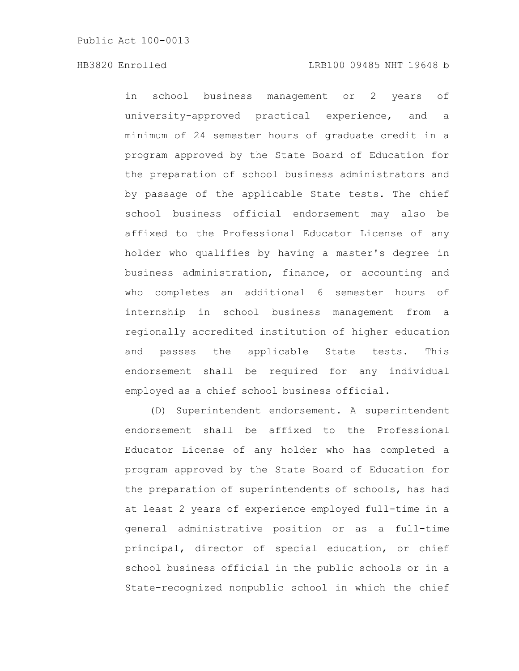in school business management or 2 years of university-approved practical experience, and a minimum of 24 semester hours of graduate credit in a program approved by the State Board of Education for the preparation of school business administrators and by passage of the applicable State tests. The chief school business official endorsement may also be affixed to the Professional Educator License of any holder who qualifies by having a master's degree in business administration, finance, or accounting and who completes an additional 6 semester hours of internship in school business management from a regionally accredited institution of higher education and passes the applicable State tests. This endorsement shall be required for any individual employed as a chief school business official.

(D) Superintendent endorsement. A superintendent endorsement shall be affixed to the Professional Educator License of any holder who has completed a program approved by the State Board of Education for the preparation of superintendents of schools, has had at least 2 years of experience employed full-time in a general administrative position or as a full-time principal, director of special education, or chief school business official in the public schools or in a State-recognized nonpublic school in which the chief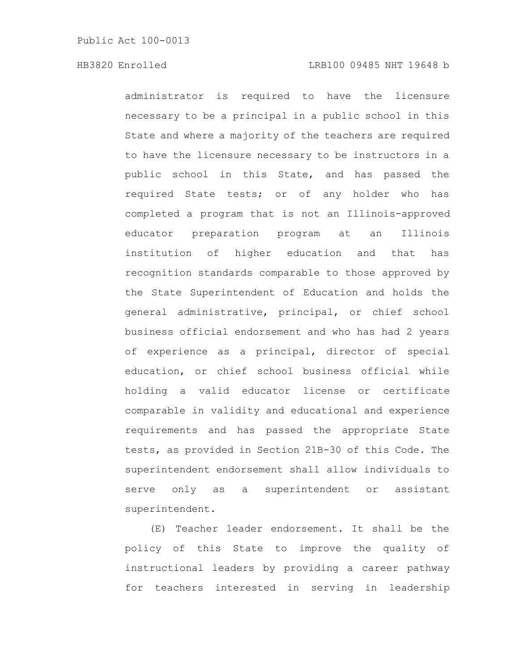administrator is required to have the licensure necessary to be a principal in a public school in this State and where a majority of the teachers are required to have the licensure necessary to be instructors in a public school in this State, and has passed the required State tests; or of any holder who has completed a program that is not an Illinois-approved educator preparation program at an Illinois institution of higher education and that has recognition standards comparable to those approved by the State Superintendent of Education and holds the general administrative, principal, or chief school business official endorsement and who has had 2 years of experience as a principal, director of special education, or chief school business official while holding a valid educator license or certificate comparable in validity and educational and experience requirements and has passed the appropriate State tests, as provided in Section 21B-30 of this Code. The superintendent endorsement shall allow individuals to serve only as a superintendent or assistant superintendent.

(E) Teacher leader endorsement. It shall be the policy of this State to improve the quality of instructional leaders by providing a career pathway for teachers interested in serving in leadership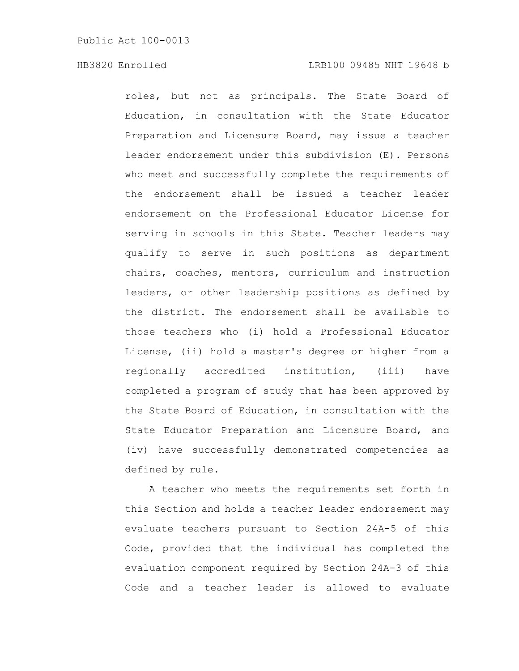roles, but not as principals. The State Board of Education, in consultation with the State Educator Preparation and Licensure Board, may issue a teacher leader endorsement under this subdivision (E). Persons who meet and successfully complete the requirements of the endorsement shall be issued a teacher leader endorsement on the Professional Educator License for serving in schools in this State. Teacher leaders may qualify to serve in such positions as department chairs, coaches, mentors, curriculum and instruction leaders, or other leadership positions as defined by the district. The endorsement shall be available to those teachers who (i) hold a Professional Educator License, (ii) hold a master's degree or higher from a regionally accredited institution, (iii) have completed a program of study that has been approved by the State Board of Education, in consultation with the State Educator Preparation and Licensure Board, and (iv) have successfully demonstrated competencies as defined by rule.

A teacher who meets the requirements set forth in this Section and holds a teacher leader endorsement may evaluate teachers pursuant to Section 24A-5 of this Code, provided that the individual has completed the evaluation component required by Section 24A-3 of this Code and a teacher leader is allowed to evaluate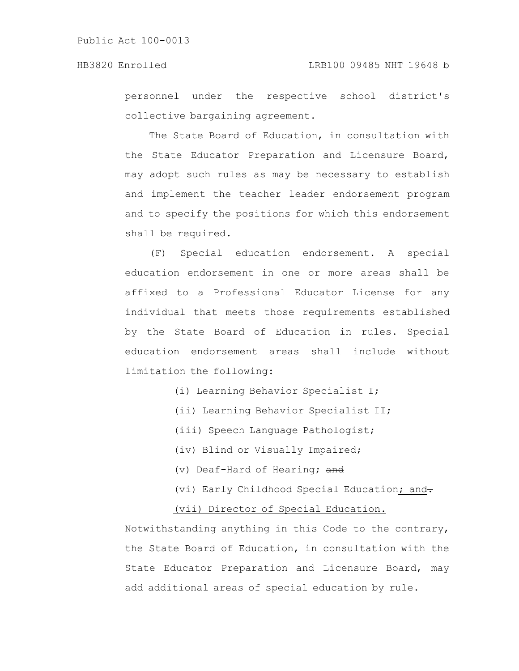personnel under the respective school district's collective bargaining agreement.

The State Board of Education, in consultation with the State Educator Preparation and Licensure Board, may adopt such rules as may be necessary to establish and implement the teacher leader endorsement program and to specify the positions for which this endorsement shall be required.

(F) Special education endorsement. A special education endorsement in one or more areas shall be affixed to a Professional Educator License for any individual that meets those requirements established by the State Board of Education in rules. Special education endorsement areas shall include without limitation the following:

- (i) Learning Behavior Specialist I;
- (ii) Learning Behavior Specialist II;
- (iii) Speech Language Pathologist;
- (iv) Blind or Visually Impaired;
- (v) Deaf-Hard of Hearing; and
- (vi) Early Childhood Special Education; and-

### (vii) Director of Special Education.

Notwithstanding anything in this Code to the contrary, the State Board of Education, in consultation with the State Educator Preparation and Licensure Board, may add additional areas of special education by rule.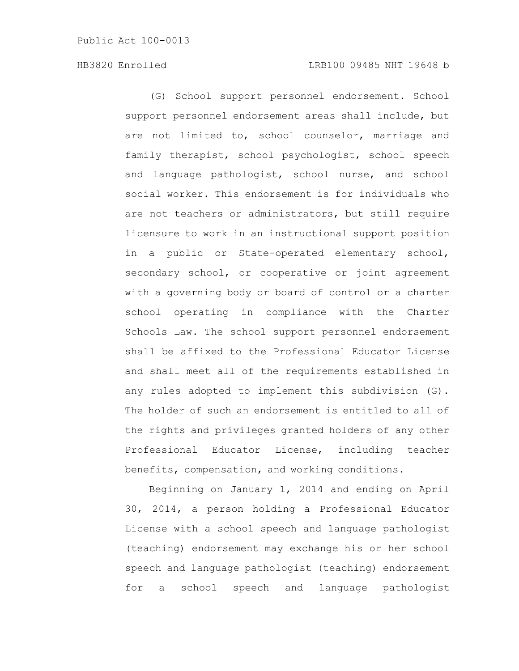(G) School support personnel endorsement. School support personnel endorsement areas shall include, but are not limited to, school counselor, marriage and family therapist, school psychologist, school speech and language pathologist, school nurse, and school social worker. This endorsement is for individuals who are not teachers or administrators, but still require licensure to work in an instructional support position in a public or State-operated elementary school, secondary school, or cooperative or joint agreement with a governing body or board of control or a charter school operating in compliance with the Charter Schools Law. The school support personnel endorsement shall be affixed to the Professional Educator License and shall meet all of the requirements established in any rules adopted to implement this subdivision (G). The holder of such an endorsement is entitled to all of the rights and privileges granted holders of any other Professional Educator License, including teacher benefits, compensation, and working conditions.

Beginning on January 1, 2014 and ending on April 30, 2014, a person holding a Professional Educator License with a school speech and language pathologist (teaching) endorsement may exchange his or her school speech and language pathologist (teaching) endorsement for a school speech and language pathologist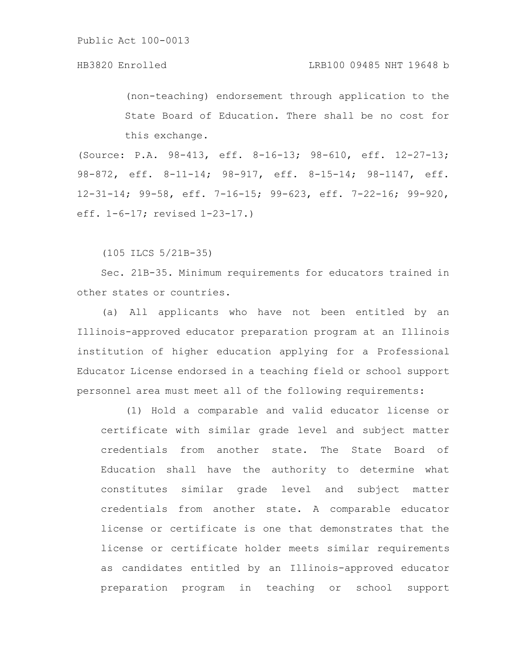(non-teaching) endorsement through application to the State Board of Education. There shall be no cost for this exchange.

(Source: P.A. 98-413, eff. 8-16-13; 98-610, eff. 12-27-13; 98-872, eff. 8-11-14; 98-917, eff. 8-15-14; 98-1147, eff. 12-31-14; 99-58, eff. 7-16-15; 99-623, eff. 7-22-16; 99-920, eff. 1-6-17; revised 1-23-17.)

(105 ILCS 5/21B-35)

Sec. 21B-35. Minimum requirements for educators trained in other states or countries.

(a) All applicants who have not been entitled by an Illinois-approved educator preparation program at an Illinois institution of higher education applying for a Professional Educator License endorsed in a teaching field or school support personnel area must meet all of the following requirements:

(1) Hold a comparable and valid educator license or certificate with similar grade level and subject matter credentials from another state. The State Board of Education shall have the authority to determine what constitutes similar grade level and subject matter credentials from another state. A comparable educator license or certificate is one that demonstrates that the license or certificate holder meets similar requirements as candidates entitled by an Illinois-approved educator preparation program in teaching or school support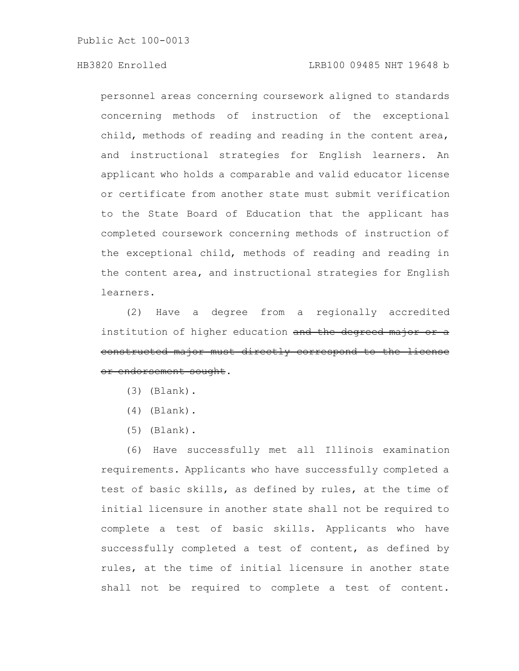### HB3820 Enrolled LRB100 09485 NHT 19648 b

personnel areas concerning coursework aligned to standards concerning methods of instruction of the exceptional child, methods of reading and reading in the content area, and instructional strategies for English learners. An applicant who holds a comparable and valid educator license or certificate from another state must submit verification to the State Board of Education that the applicant has completed coursework concerning methods of instruction of the exceptional child, methods of reading and reading in the content area, and instructional strategies for English learners.

(2) Have a degree from a regionally accredited institution of higher education and the degreed major constructed major must directly correspond to the license or endorsement sought.

- (3) (Blank).
- (4) (Blank).
- (5) (Blank).

(6) Have successfully met all Illinois examination requirements. Applicants who have successfully completed a test of basic skills, as defined by rules, at the time of initial licensure in another state shall not be required to complete a test of basic skills. Applicants who have successfully completed a test of content, as defined by rules, at the time of initial licensure in another state shall not be required to complete a test of content.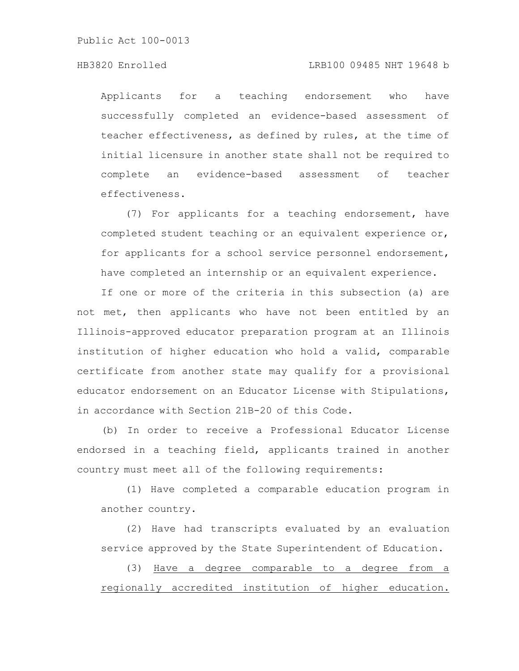#### HB3820 Enrolled LRB100 09485 NHT 19648 b

Applicants for a teaching endorsement who have successfully completed an evidence-based assessment of teacher effectiveness, as defined by rules, at the time of initial licensure in another state shall not be required to complete an evidence-based assessment of teacher effectiveness.

(7) For applicants for a teaching endorsement, have completed student teaching or an equivalent experience or, for applicants for a school service personnel endorsement, have completed an internship or an equivalent experience.

If one or more of the criteria in this subsection (a) are not met, then applicants who have not been entitled by an Illinois-approved educator preparation program at an Illinois institution of higher education who hold a valid, comparable certificate from another state may qualify for a provisional educator endorsement on an Educator License with Stipulations, in accordance with Section 21B-20 of this Code.

(b) In order to receive a Professional Educator License endorsed in a teaching field, applicants trained in another country must meet all of the following requirements:

(1) Have completed a comparable education program in another country.

(2) Have had transcripts evaluated by an evaluation service approved by the State Superintendent of Education.

(3) Have a degree comparable to a degree from a regionally accredited institution of higher education.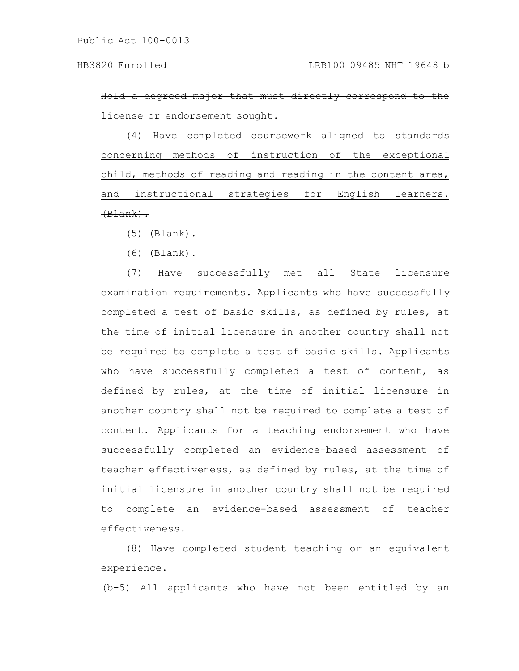Hold a degreed major that must directly correspond license or endorsement sought.

(4) Have completed coursework aligned to standards concerning methods of instruction of the exceptional child, methods of reading and reading in the content area, and instructional strategies for English learners.  $+B$ lank $)$ .

- (5) (Blank).
- (6) (Blank).

(7) Have successfully met all State licensure examination requirements. Applicants who have successfully completed a test of basic skills, as defined by rules, at the time of initial licensure in another country shall not be required to complete a test of basic skills. Applicants who have successfully completed a test of content, as defined by rules, at the time of initial licensure in another country shall not be required to complete a test of content. Applicants for a teaching endorsement who have successfully completed an evidence-based assessment of teacher effectiveness, as defined by rules, at the time of initial licensure in another country shall not be required to complete an evidence-based assessment of teacher effectiveness.

(8) Have completed student teaching or an equivalent experience.

(b-5) All applicants who have not been entitled by an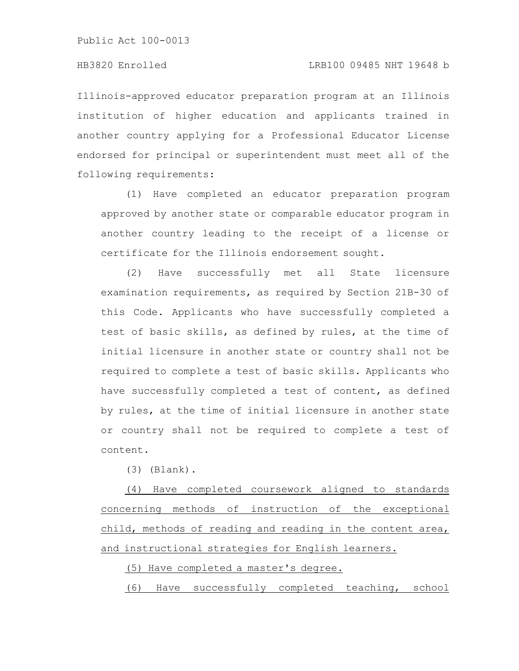Illinois-approved educator preparation program at an Illinois institution of higher education and applicants trained in another country applying for a Professional Educator License endorsed for principal or superintendent must meet all of the following requirements:

(1) Have completed an educator preparation program approved by another state or comparable educator program in another country leading to the receipt of a license or certificate for the Illinois endorsement sought.

(2) Have successfully met all State licensure examination requirements, as required by Section 21B-30 of this Code. Applicants who have successfully completed a test of basic skills, as defined by rules, at the time of initial licensure in another state or country shall not be required to complete a test of basic skills. Applicants who have successfully completed a test of content, as defined by rules, at the time of initial licensure in another state or country shall not be required to complete a test of content.

(3) (Blank).

(4) Have completed coursework aligned to standards concerning methods of instruction of the exceptional child, methods of reading and reading in the content area, and instructional strategies for English learners.

(5) Have completed a master's degree.

(6) Have successfully completed teaching, school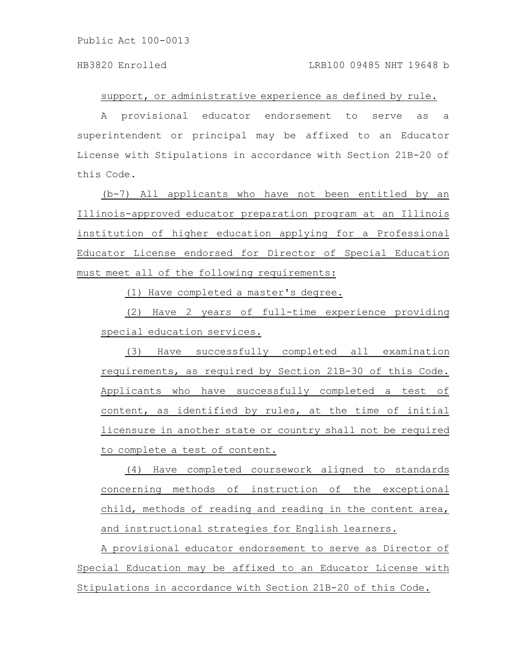support, or administrative experience as defined by rule.

A provisional educator endorsement to serve as a superintendent or principal may be affixed to an Educator License with Stipulations in accordance with Section 21B-20 of this Code.

(b-7) All applicants who have not been entitled by an Illinois-approved educator preparation program at an Illinois institution of higher education applying for a Professional Educator License endorsed for Director of Special Education must meet all of the following requirements:

(1) Have completed a master's degree.

(2) Have 2 years of full-time experience providing special education services.

(3) Have successfully completed all examination requirements, as required by Section 21B-30 of this Code. Applicants who have successfully completed a test of content, as identified by rules, at the time of initial licensure in another state or country shall not be required to complete a test of content.

(4) Have completed coursework aligned to standards concerning methods of instruction of the exceptional child, methods of reading and reading in the content area, and instructional strategies for English learners.

A provisional educator endorsement to serve as Director of Special Education may be affixed to an Educator License with Stipulations in accordance with Section 21B-20 of this Code.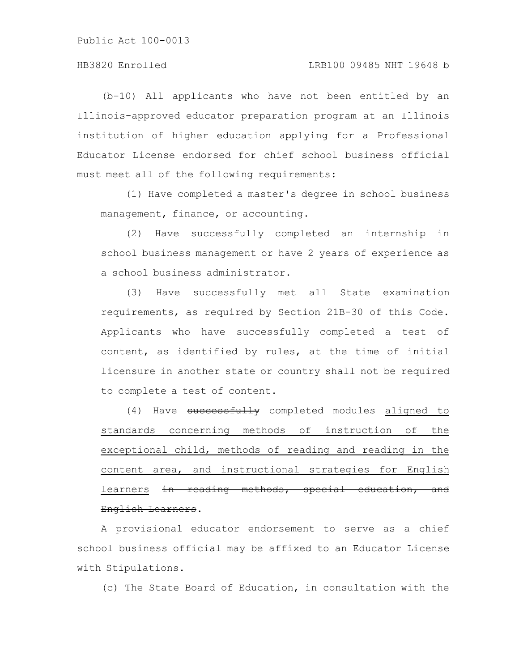### HB3820 Enrolled LRB100 09485 NHT 19648 b

(b-10) All applicants who have not been entitled by an Illinois-approved educator preparation program at an Illinois institution of higher education applying for a Professional Educator License endorsed for chief school business official must meet all of the following requirements:

(1) Have completed a master's degree in school business management, finance, or accounting.

(2) Have successfully completed an internship in school business management or have 2 years of experience as a school business administrator.

(3) Have successfully met all State examination requirements, as required by Section 21B-30 of this Code. Applicants who have successfully completed a test of content, as identified by rules, at the time of initial licensure in another state or country shall not be required to complete a test of content.

(4) Have successfully completed modules aligned to standards concerning methods of instruction of the exceptional child, methods of reading and reading in the content area, and instructional strategies for English learners in reading methods, special education, and English Learners.

A provisional educator endorsement to serve as a chief school business official may be affixed to an Educator License with Stipulations.

(c) The State Board of Education, in consultation with the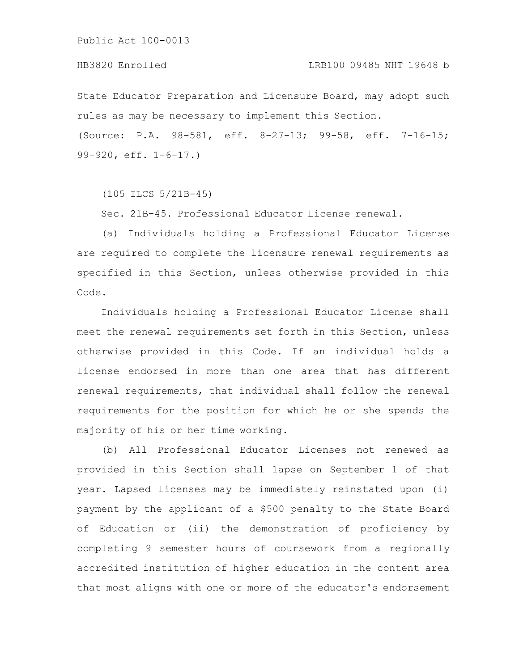State Educator Preparation and Licensure Board, may adopt such rules as may be necessary to implement this Section. (Source: P.A. 98-581, eff. 8-27-13; 99-58, eff. 7-16-15; 99-920, eff. 1-6-17.)

(105 ILCS 5/21B-45)

Sec. 21B-45. Professional Educator License renewal.

(a) Individuals holding a Professional Educator License are required to complete the licensure renewal requirements as specified in this Section, unless otherwise provided in this Code.

Individuals holding a Professional Educator License shall meet the renewal requirements set forth in this Section, unless otherwise provided in this Code. If an individual holds a license endorsed in more than one area that has different renewal requirements, that individual shall follow the renewal requirements for the position for which he or she spends the majority of his or her time working.

(b) All Professional Educator Licenses not renewed as provided in this Section shall lapse on September 1 of that year. Lapsed licenses may be immediately reinstated upon (i) payment by the applicant of a \$500 penalty to the State Board of Education or (ii) the demonstration of proficiency by completing 9 semester hours of coursework from a regionally accredited institution of higher education in the content area that most aligns with one or more of the educator's endorsement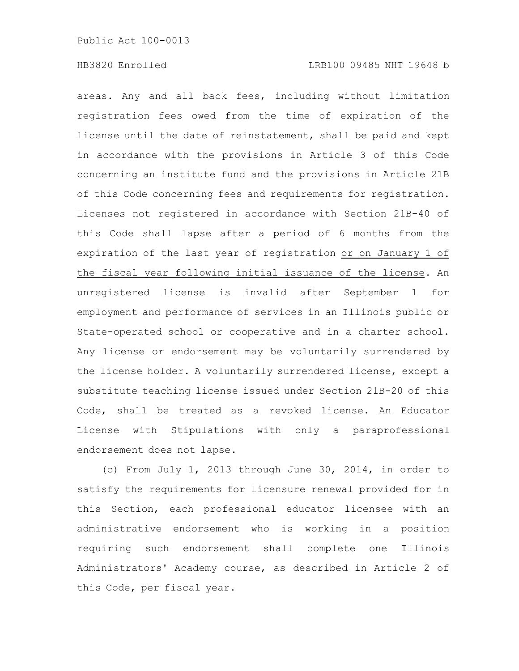areas. Any and all back fees, including without limitation registration fees owed from the time of expiration of the license until the date of reinstatement, shall be paid and kept in accordance with the provisions in Article 3 of this Code concerning an institute fund and the provisions in Article 21B of this Code concerning fees and requirements for registration. Licenses not registered in accordance with Section 21B-40 of this Code shall lapse after a period of 6 months from the expiration of the last year of registration or on January 1 of the fiscal year following initial issuance of the license. An unregistered license is invalid after September 1 for employment and performance of services in an Illinois public or State-operated school or cooperative and in a charter school. Any license or endorsement may be voluntarily surrendered by the license holder. A voluntarily surrendered license, except a substitute teaching license issued under Section 21B-20 of this Code, shall be treated as a revoked license. An Educator License with Stipulations with only a paraprofessional endorsement does not lapse.

(c) From July 1, 2013 through June 30, 2014, in order to satisfy the requirements for licensure renewal provided for in this Section, each professional educator licensee with an administrative endorsement who is working in a position requiring such endorsement shall complete one Illinois Administrators' Academy course, as described in Article 2 of this Code, per fiscal year.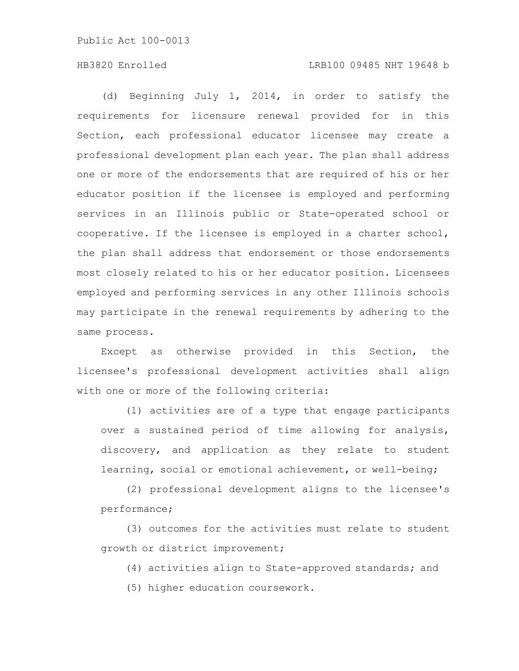(d) Beginning July 1, 2014, in order to satisfy the requirements for licensure renewal provided for in this Section, each professional educator licensee may create a professional development plan each year. The plan shall address one or more of the endorsements that are required of his or her educator position if the licensee is employed and performing services in an Illinois public or State-operated school or cooperative. If the licensee is employed in a charter school, the plan shall address that endorsement or those endorsements most closely related to his or her educator position. Licensees employed and performing services in any other Illinois schools may participate in the renewal requirements by adhering to the same process.

Except as otherwise provided in this Section, the licensee's professional development activities shall align with one or more of the following criteria:

(1) activities are of a type that engage participants over a sustained period of time allowing for analysis, discovery, and application as they relate to student learning, social or emotional achievement, or well-being;

(2) professional development aligns to the licensee's performance;

(3) outcomes for the activities must relate to student growth or district improvement;

(4) activities align to State-approved standards; and (5) higher education coursework.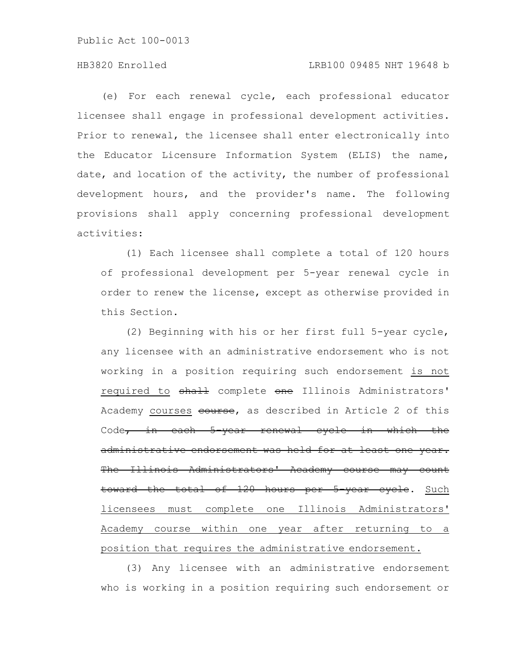### HB3820 Enrolled LRB100 09485 NHT 19648 b

(e) For each renewal cycle, each professional educator licensee shall engage in professional development activities. Prior to renewal, the licensee shall enter electronically into the Educator Licensure Information System (ELIS) the name, date, and location of the activity, the number of professional development hours, and the provider's name. The following provisions shall apply concerning professional development activities:

(1) Each licensee shall complete a total of 120 hours of professional development per 5-year renewal cycle in order to renew the license, except as otherwise provided in this Section.

(2) Beginning with his or her first full 5-year cycle, any licensee with an administrative endorsement who is not working in a position requiring such endorsement is not required to shall complete one Illinois Administrators' Academy courses course, as described in Article 2 of this Code, in each 5-year renewal cycle in which the administrative endorsement was held for at least one year. The Illinois Administrators' Academy course may count toward the total of 120 hours per 5-year cycle. Such licensees must complete one Illinois Administrators' Academy course within one year after returning to a position that requires the administrative endorsement.

(3) Any licensee with an administrative endorsement who is working in a position requiring such endorsement or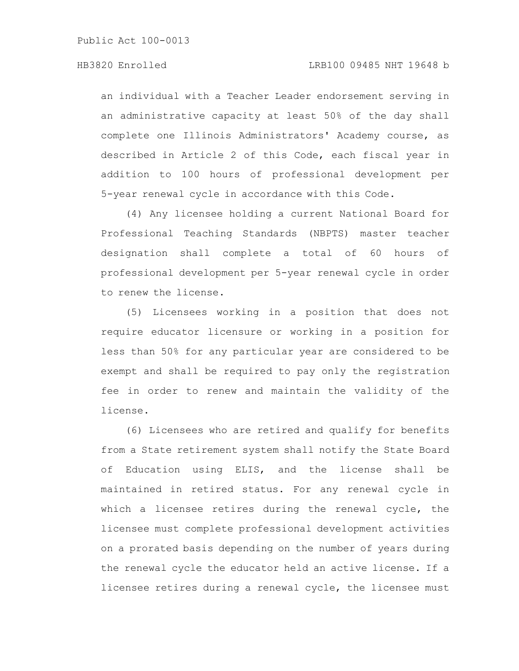an individual with a Teacher Leader endorsement serving in an administrative capacity at least 50% of the day shall complete one Illinois Administrators' Academy course, as described in Article 2 of this Code, each fiscal year in addition to 100 hours of professional development per 5-year renewal cycle in accordance with this Code.

(4) Any licensee holding a current National Board for Professional Teaching Standards (NBPTS) master teacher designation shall complete a total of 60 hours of professional development per 5-year renewal cycle in order to renew the license.

(5) Licensees working in a position that does not require educator licensure or working in a position for less than 50% for any particular year are considered to be exempt and shall be required to pay only the registration fee in order to renew and maintain the validity of the license.

(6) Licensees who are retired and qualify for benefits from a State retirement system shall notify the State Board of Education using ELIS, and the license shall be maintained in retired status. For any renewal cycle in which a licensee retires during the renewal cycle, the licensee must complete professional development activities on a prorated basis depending on the number of years during the renewal cycle the educator held an active license. If a licensee retires during a renewal cycle, the licensee must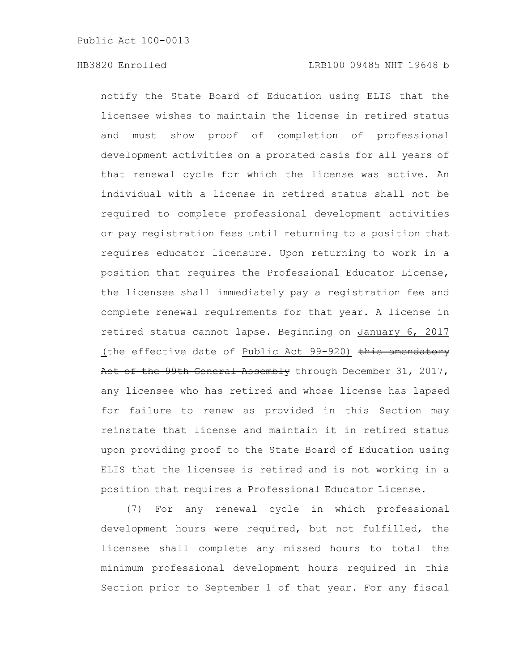notify the State Board of Education using ELIS that the licensee wishes to maintain the license in retired status and must show proof of completion of professional development activities on a prorated basis for all years of that renewal cycle for which the license was active. An individual with a license in retired status shall not be required to complete professional development activities or pay registration fees until returning to a position that requires educator licensure. Upon returning to work in a position that requires the Professional Educator License, the licensee shall immediately pay a registration fee and complete renewal requirements for that year. A license in retired status cannot lapse. Beginning on January 6, 2017 (the effective date of Public Act  $99-920$ ) this amendatory Act of the 99th General Assembly through December 31, 2017, any licensee who has retired and whose license has lapsed for failure to renew as provided in this Section may reinstate that license and maintain it in retired status upon providing proof to the State Board of Education using ELIS that the licensee is retired and is not working in a position that requires a Professional Educator License.

(7) For any renewal cycle in which professional development hours were required, but not fulfilled, the licensee shall complete any missed hours to total the minimum professional development hours required in this Section prior to September 1 of that year. For any fiscal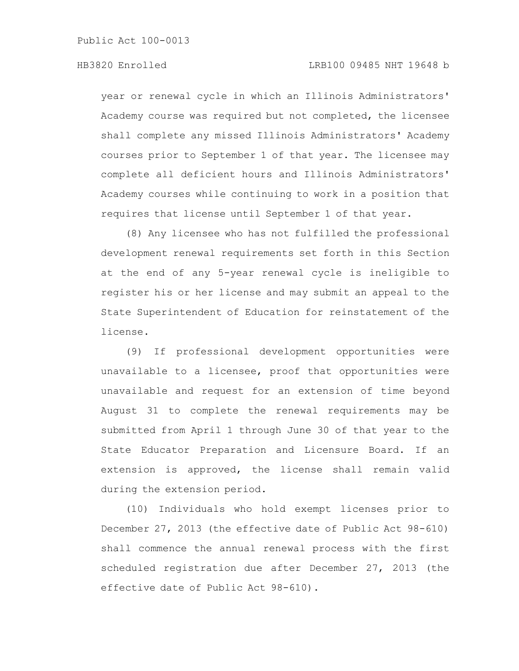year or renewal cycle in which an Illinois Administrators' Academy course was required but not completed, the licensee shall complete any missed Illinois Administrators' Academy courses prior to September 1 of that year. The licensee may complete all deficient hours and Illinois Administrators' Academy courses while continuing to work in a position that requires that license until September 1 of that year.

(8) Any licensee who has not fulfilled the professional development renewal requirements set forth in this Section at the end of any 5-year renewal cycle is ineligible to register his or her license and may submit an appeal to the State Superintendent of Education for reinstatement of the license.

(9) If professional development opportunities were unavailable to a licensee, proof that opportunities were unavailable and request for an extension of time beyond August 31 to complete the renewal requirements may be submitted from April 1 through June 30 of that year to the State Educator Preparation and Licensure Board. If an extension is approved, the license shall remain valid during the extension period.

(10) Individuals who hold exempt licenses prior to December 27, 2013 (the effective date of Public Act 98-610) shall commence the annual renewal process with the first scheduled registration due after December 27, 2013 (the effective date of Public Act 98-610).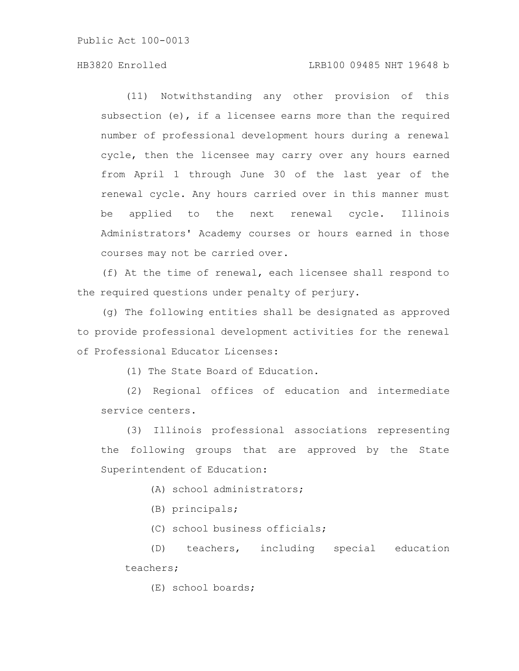### HB3820 Enrolled LRB100 09485 NHT 19648 b

(11) Notwithstanding any other provision of this subsection (e), if a licensee earns more than the required number of professional development hours during a renewal cycle, then the licensee may carry over any hours earned from April 1 through June 30 of the last year of the renewal cycle. Any hours carried over in this manner must be applied to the next renewal cycle. Illinois Administrators' Academy courses or hours earned in those courses may not be carried over.

(f) At the time of renewal, each licensee shall respond to the required questions under penalty of perjury.

(g) The following entities shall be designated as approved to provide professional development activities for the renewal of Professional Educator Licenses:

(1) The State Board of Education.

(2) Regional offices of education and intermediate service centers.

(3) Illinois professional associations representing the following groups that are approved by the State Superintendent of Education:

(A) school administrators;

(B) principals;

(C) school business officials;

(D) teachers, including special education teachers;

(E) school boards;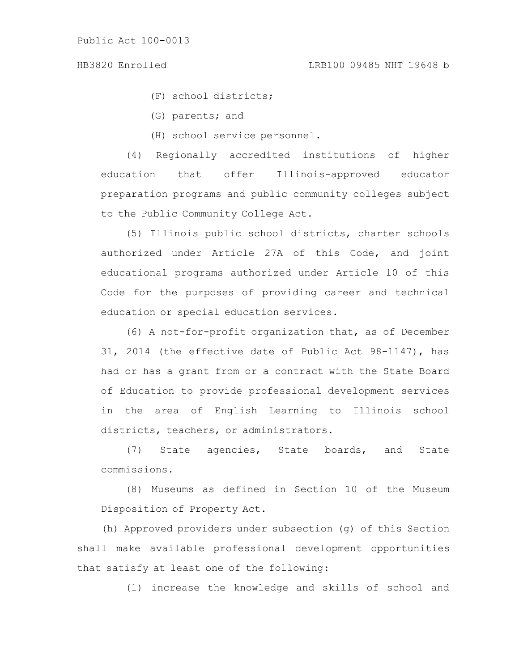(F) school districts;

(G) parents; and

(H) school service personnel.

(4) Regionally accredited institutions of higher education that offer Illinois-approved educator preparation programs and public community colleges subject to the Public Community College Act.

(5) Illinois public school districts, charter schools authorized under Article 27A of this Code, and joint educational programs authorized under Article 10 of this Code for the purposes of providing career and technical education or special education services.

(6) A not-for-profit organization that, as of December 31, 2014 (the effective date of Public Act 98-1147), has had or has a grant from or a contract with the State Board of Education to provide professional development services in the area of English Learning to Illinois school districts, teachers, or administrators.

(7) State agencies, State boards, and State commissions.

(8) Museums as defined in Section 10 of the Museum Disposition of Property Act.

(h) Approved providers under subsection (g) of this Section shall make available professional development opportunities that satisfy at least one of the following:

(1) increase the knowledge and skills of school and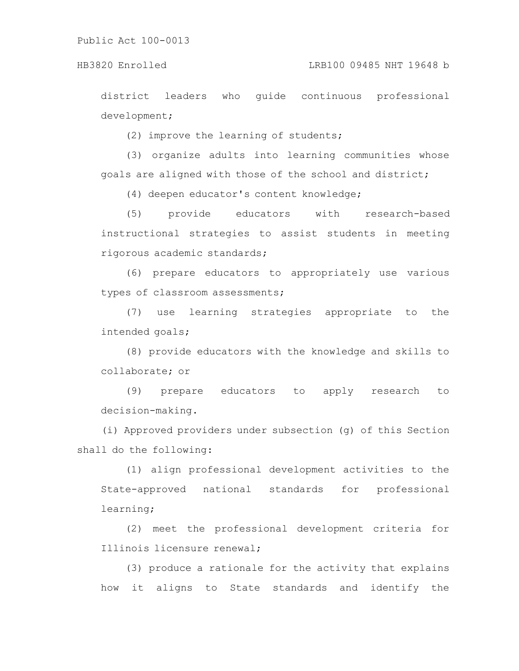district leaders who guide continuous professional development;

(2) improve the learning of students;

(3) organize adults into learning communities whose goals are aligned with those of the school and district;

(4) deepen educator's content knowledge;

(5) provide educators with research-based instructional strategies to assist students in meeting rigorous academic standards;

(6) prepare educators to appropriately use various types of classroom assessments;

(7) use learning strategies appropriate to the intended goals;

(8) provide educators with the knowledge and skills to collaborate; or

(9) prepare educators to apply research to decision-making.

(i) Approved providers under subsection (g) of this Section shall do the following:

(1) align professional development activities to the State-approved national standards for professional learning;

(2) meet the professional development criteria for Illinois licensure renewal;

(3) produce a rationale for the activity that explains how it aligns to State standards and identify the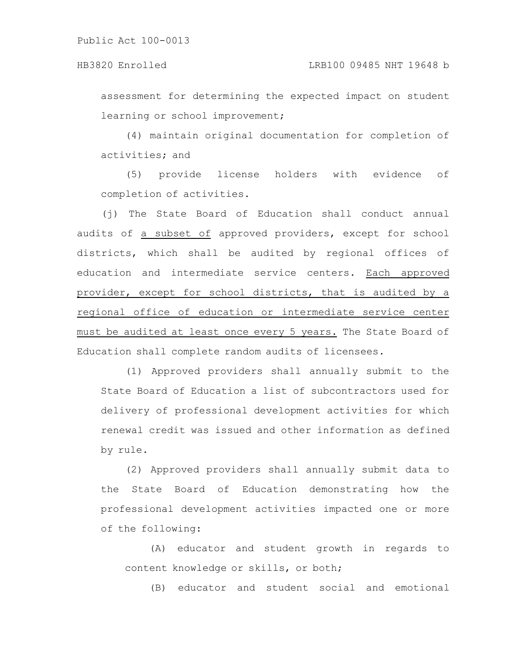assessment for determining the expected impact on student learning or school improvement;

(4) maintain original documentation for completion of activities; and

(5) provide license holders with evidence of completion of activities.

(j) The State Board of Education shall conduct annual audits of a subset of approved providers, except for school districts, which shall be audited by regional offices of education and intermediate service centers. Each approved provider, except for school districts, that is audited by a regional office of education or intermediate service center must be audited at least once every 5 years. The State Board of Education shall complete random audits of licensees.

(1) Approved providers shall annually submit to the State Board of Education a list of subcontractors used for delivery of professional development activities for which renewal credit was issued and other information as defined by rule.

(2) Approved providers shall annually submit data to the State Board of Education demonstrating how the professional development activities impacted one or more of the following:

(A) educator and student growth in regards to content knowledge or skills, or both;

(B) educator and student social and emotional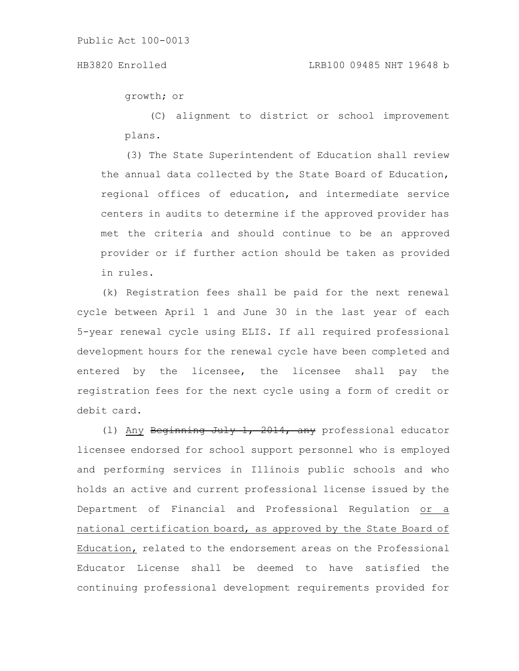growth; or

(C) alignment to district or school improvement plans.

(3) The State Superintendent of Education shall review the annual data collected by the State Board of Education, regional offices of education, and intermediate service centers in audits to determine if the approved provider has met the criteria and should continue to be an approved provider or if further action should be taken as provided in rules.

(k) Registration fees shall be paid for the next renewal cycle between April 1 and June 30 in the last year of each 5-year renewal cycle using ELIS. If all required professional development hours for the renewal cycle have been completed and entered by the licensee, the licensee shall pay the registration fees for the next cycle using a form of credit or debit card.

(l) Any Beginning July 1, 2014, any professional educator licensee endorsed for school support personnel who is employed and performing services in Illinois public schools and who holds an active and current professional license issued by the Department of Financial and Professional Regulation or a national certification board, as approved by the State Board of Education, related to the endorsement areas on the Professional Educator License shall be deemed to have satisfied the continuing professional development requirements provided for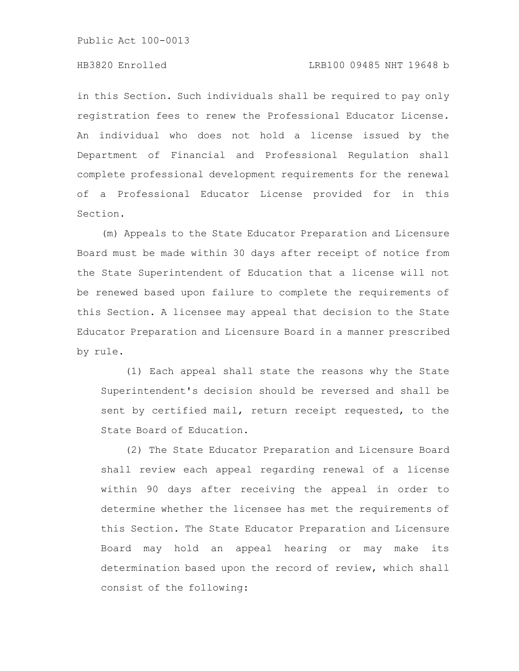in this Section. Such individuals shall be required to pay only registration fees to renew the Professional Educator License. An individual who does not hold a license issued by the Department of Financial and Professional Regulation shall complete professional development requirements for the renewal of a Professional Educator License provided for in this Section.

(m) Appeals to the State Educator Preparation and Licensure Board must be made within 30 days after receipt of notice from the State Superintendent of Education that a license will not be renewed based upon failure to complete the requirements of this Section. A licensee may appeal that decision to the State Educator Preparation and Licensure Board in a manner prescribed by rule.

(1) Each appeal shall state the reasons why the State Superintendent's decision should be reversed and shall be sent by certified mail, return receipt requested, to the State Board of Education.

(2) The State Educator Preparation and Licensure Board shall review each appeal regarding renewal of a license within 90 days after receiving the appeal in order to determine whether the licensee has met the requirements of this Section. The State Educator Preparation and Licensure Board may hold an appeal hearing or may make its determination based upon the record of review, which shall consist of the following: